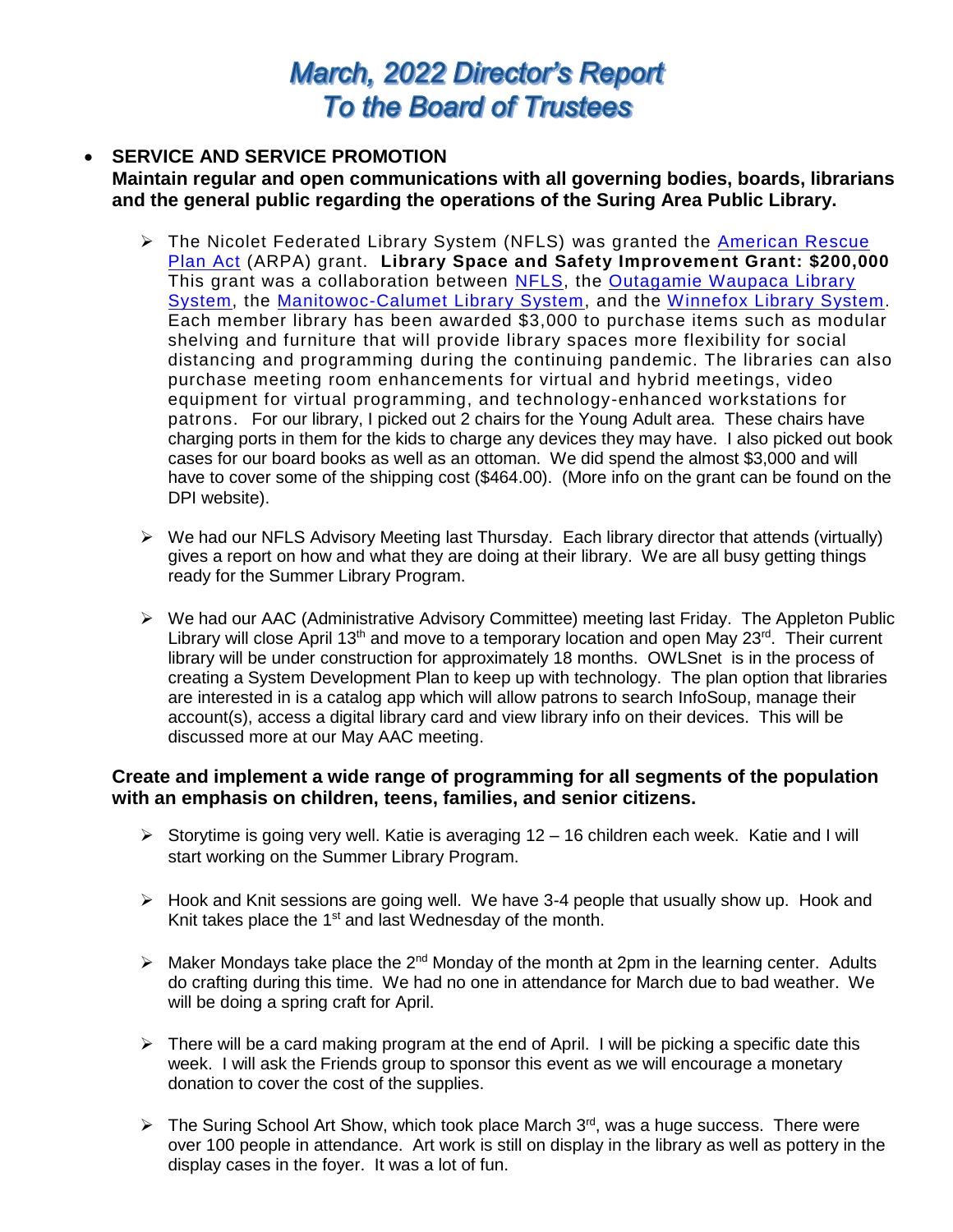# March, 2022 Director's Report **To the Board of Trustees**

### **SERVICE AND SERVICE PROMOTION Maintain regular and open communications with all governing bodies, boards, librarians and the general public regarding the operations of the Suring Area Public Library.**

- The Nicolet Federated Library System (NFLS) was granted the [American Rescue](https://www.congress.gov/bill/117th-congress/house-bill/1319)  [Plan Act](https://www.congress.gov/bill/117th-congress/house-bill/1319) (ARPA) grant. **Library Space and Safety Improvement Grant: \$200,000** This grant was a collaboration between [NFLS,](http://www.nfls.lib.wi.us/?mc_cid=6ccf304c8d&mc_eid=UNIQID) the Outagamie Waupaca Library [System,](http://owlsweb.org/?mc_cid=6ccf304c8d&mc_eid=UNIQID) the [Manitowoc-Calumet Library System,](http://www.mclsweb.org/mclsweb?mc_cid=6ccf304c8d&mc_eid=UNIQID) and the [Winnefox Library System.](http://www.winnefox.org/?mc_cid=6ccf304c8d&mc_eid=UNIQID) Each member library has been awarded \$3,000 to purchase items such as modular shelving and furniture that will provide library spaces more flexibility for social distancing and programming during the continuing pandemic. The libraries can also purchase meeting room enhancements for virtual and hybrid meetings, video equipment for virtual programming, and technology-enhanced workstations for patrons. For our library, I picked out 2 chairs for the Young Adult area. These chairs have charging ports in them for the kids to charge any devices they may have. I also picked out book cases for our board books as well as an ottoman. We did spend the almost \$3,000 and will have to cover some of the shipping cost (\$464.00). (More info on the grant can be found on the DPI website).
- $\triangleright$  We had our NFLS Advisory Meeting last Thursday. Each library director that attends (virtually) gives a report on how and what they are doing at their library. We are all busy getting things ready for the Summer Library Program.
- We had our AAC (Administrative Advisory Committee) meeting last Friday. The Appleton Public Library will close April 13<sup>th</sup> and move to a temporary location and open May 23<sup>rd</sup>. Their current library will be under construction for approximately 18 months. OWLSnet is in the process of creating a System Development Plan to keep up with technology. The plan option that libraries are interested in is a catalog app which will allow patrons to search InfoSoup, manage their account(s), access a digital library card and view library info on their devices. This will be discussed more at our May AAC meeting.

# **Create and implement a wide range of programming for all segments of the population with an emphasis on children, teens, families, and senior citizens.**

- $\triangleright$  Storytime is going very well. Katie is averaging 12 16 children each week. Katie and I will start working on the Summer Library Program.
- $\triangleright$  Hook and Knit sessions are going well. We have 3-4 people that usually show up. Hook and Knit takes place the  $1<sup>st</sup>$  and last Wednesday of the month.
- $\triangleright$  Maker Mondays take place the 2<sup>nd</sup> Monday of the month at 2pm in the learning center. Adults do crafting during this time. We had no one in attendance for March due to bad weather. We will be doing a spring craft for April.
- $\triangleright$  There will be a card making program at the end of April. I will be picking a specific date this week. I will ask the Friends group to sponsor this event as we will encourage a monetary donation to cover the cost of the supplies.
- $\triangleright$  The Suring School Art Show, which took place March 3<sup>rd</sup>, was a huge success. There were over 100 people in attendance. Art work is still on display in the library as well as pottery in the display cases in the foyer. It was a lot of fun.